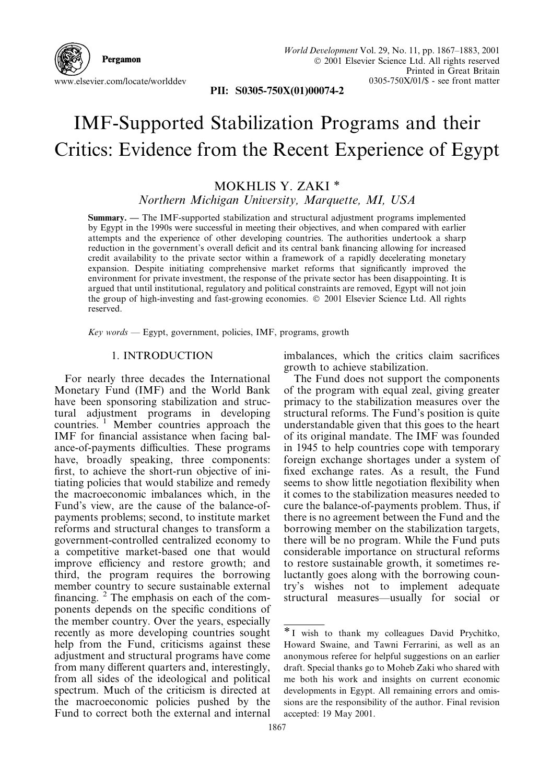Pergamon www.elsevier.com/locate/worlddev

PII: S0305-750X(01)00074-2

## IMF-Supported Stabilization Programs and their Critics: Evidence from the Recent Experience of Egypt

## MOKHLIS Y. ZAKI \* Northern Michigan University, Marquette, MI, USA

Summary. - The IMF-supported stabilization and structural adjustment programs implemented by Egypt in the 1990s were successful in meeting their objectives, and when compared with earlier attempts and the experience of other developing countries. The authorities undertook a sharp reduction in the government's overall deficit and its central bank financing allowing for increased credit availability to the private sector within a framework of a rapidly decelerating monetary expansion. Despite initiating comprehensive market reforms that significantly improved the environment for private investment, the response of the private sector has been disappointing. It is argued that until institutional, regulatory and political constraints are removed, Egypt will not join the group of high-investing and fast-growing economies. © 2001 Elsevier Science Ltd. All rights reserved.

Key words - Egypt, government, policies, IMF, programs, growth

## 1. INTRODUCTION

For nearly three decades the International Monetary Fund (IMF) and the World Bank have been sponsoring stabilization and structural adjustment programs in developing countries.<sup>1</sup> Member countries approach the IMF for financial assistance when facing balance-of-payments difficulties. These programs have, broadly speaking, three components: first, to achieve the short-run objective of initiating policies that would stabilize and remedy the macroeconomic imbalances which, in the Fund's view, are the cause of the balance-ofpayments problems; second, to institute market reforms and structural changes to transform a government-controlled centralized economy to a competitive market-based one that would improve efficiency and restore growth; and third, the program requires the borrowing member country to secure sustainable external financing.  $2$  The emphasis on each of the components depends on the specific conditions of the member country. Over the years, especially recently as more developing countries sought help from the Fund, criticisms against these adjustment and structural programs have come from many different quarters and, interestingly, from all sides of the ideological and political spectrum. Much of the criticism is directed at the macroeconomic policies pushed by the Fund to correct both the external and internal

imbalances, which the critics claim sacrifices growth to achieve stabilization.

The Fund does not support the components of the program with equal zeal, giving greater primacy to the stabilization measures over the structural reforms. The Fund's position is quite understandable given that this goes to the heart of its original mandate. The IMF was founded in 1945 to help countries cope with temporary foreign exchange shortages under a system of fixed exchange rates. As a result, the Fund seems to show little negotiation flexibility when it comes to the stabilization measures needed to cure the balance-of-payments problem. Thus, if there is no agreement between the Fund and the borrowing member on the stabilization targets, there will be no program. While the Fund puts considerable importance on structural reforms to restore sustainable growth, it sometimes reluctantly goes along with the borrowing country's wishes not to implement adequate structural measures—usually for social or

<sup>\*</sup> I wish to thank my colleagues David Prychitko, Howard Swaine, and Tawni Ferrarini, as well as an anonymous referee for helpful suggestions on an earlier draft. Special thanks go to Moheb Zaki who shared with me both his work and insights on current economic developments in Egypt. All remaining errors and omissions are the responsibility of the author. Final revision accepted: 19 May 2001.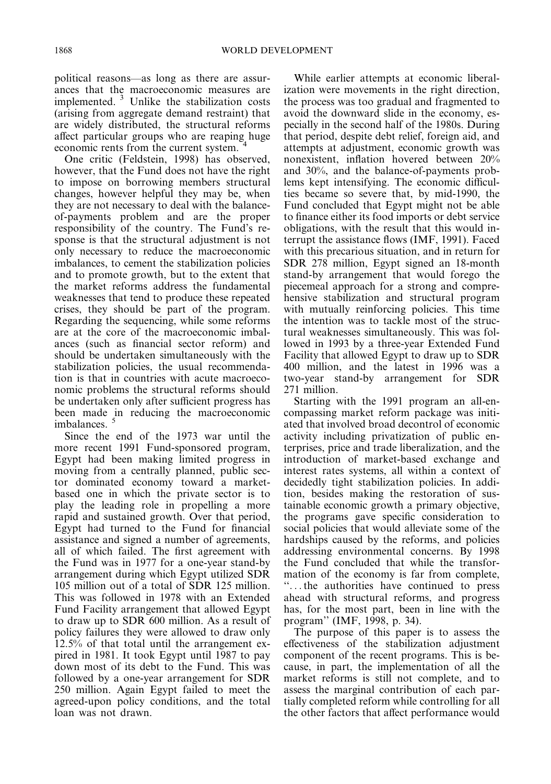political reasons-as long as there are assurances that the macroeconomic measures are implemented.<sup>3</sup> Unlike the stabilization costs (arising from aggregate demand restraint) that are widely distributed, the structural reforms affect particular groups who are reaping huge economic rents from the current system.

One critic (Feldstein, 1998) has observed, however, that the Fund does not have the right to impose on borrowing members structural changes, however helpful they may be, when they are not necessary to deal with the balanceof-payments problem and are the proper responsibility of the country. The Fund's response is that the structural adjustment is not only necessary to reduce the macroeconomic imbalances, to cement the stabilization policies and to promote growth, but to the extent that the market reforms address the fundamental weaknesses that tend to produce these repeated crises, they should be part of the program. Regarding the sequencing, while some reforms are at the core of the macroeconomic imbalances (such as financial sector reform) and should be undertaken simultaneously with the stabilization policies, the usual recommendation is that in countries with acute macroeconomic problems the structural reforms should be undertaken only after sufficient progress has been made in reducing the macroeconomic imbalances.

Since the end of the 1973 war until the more recent 1991 Fund-sponsored program, Egypt had been making limited progress in moving from a centrally planned, public sector dominated economy toward a marketbased one in which the private sector is to play the leading role in propelling a more rapid and sustained growth. Over that period, Egypt had turned to the Fund for financial assistance and signed a number of agreements, all of which failed. The first agreement with the Fund was in 1977 for a one-year stand-by arrangement during which Egypt utilized SDR 105 million out of a total of SDR 125 million. This was followed in 1978 with an Extended Fund Facility arrangement that allowed Egypt to draw up to SDR 600 million. As a result of policy failures they were allowed to draw only 12.5% of that total until the arrangement expired in 1981. It took Egypt until 1987 to pay down most of its debt to the Fund. This was followed by a one-year arrangement for SDR 250 million. Again Egypt failed to meet the agreed-upon policy conditions, and the total loan was not drawn.

While earlier attempts at economic liberalization were movements in the right direction. the process was too gradual and fragmented to avoid the downward slide in the economy, especially in the second half of the 1980s. During that period, despite debt relief, foreign aid, and attempts at adjustment, economic growth was nonexistent, inflation hovered between 20% and 30%, and the balance-of-payments problems kept intensifying. The economic difficulties became so severe that, by mid-1990, the Fund concluded that Egypt might not be able to finance either its food imports or debt service obligations, with the result that this would interrupt the assistance flows (IMF, 1991). Faced with this precarious situation, and in return for SDR 278 million, Egypt signed an 18-month stand-by arrangement that would forego the piecemeal approach for a strong and comprehensive stabilization and structural program with mutually reinforcing policies. This time the intention was to tackle most of the structural weaknesses simultaneously. This was followed in 1993 by a three-year Extended Fund Facility that allowed Egypt to draw up to SDR 400 million, and the latest in 1996 was a two-year stand-by arrangement for SDR 271 million.

Starting with the 1991 program an all-encompassing market reform package was initiated that involved broad decontrol of economic activity including privatization of public enterprises, price and trade liberalization, and the introduction of market-based exchange and interest rates systems, all within a context of decidedly tight stabilization policies. In addition, besides making the restoration of sustainable economic growth a primary objective, the programs gave specific consideration to social policies that would alleviate some of the hardships caused by the reforms, and policies addressing environmental concerns. By 1998 the Fund concluded that while the transformation of the economy is far from complete. "... the authorities have continued to press ahead with structural reforms, and progress has, for the most part, been in line with the program" (IMF, 1998, p. 34).

The purpose of this paper is to assess the effectiveness of the stabilization adjustment component of the recent programs. This is because, in part, the implementation of all the market reforms is still not complete, and to assess the marginal contribution of each partially completed reform while controlling for all the other factors that affect performance would